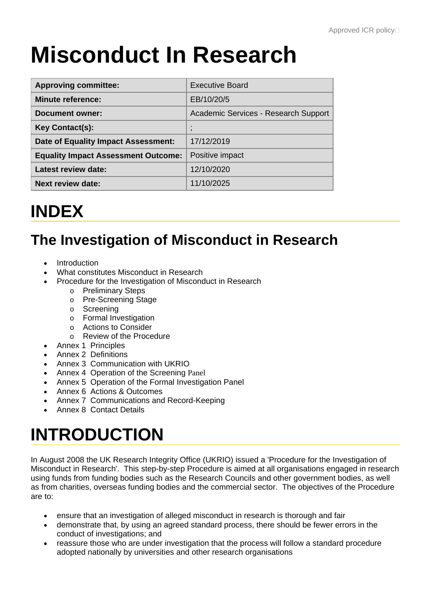# **Misconduct In Research**

| <b>Approving committee:</b>                | <b>Executive Board</b>                     |
|--------------------------------------------|--------------------------------------------|
| <b>Minute reference:</b>                   | EB/10/20/5                                 |
| Document owner:                            | Academic Services - Research Support       |
| <b>Key Contact(s):</b>                     | $\blacksquare$<br>$\overline{\phantom{a}}$ |
| Date of Equality Impact Assessment:        | 17/12/2019                                 |
| <b>Equality Impact Assessment Outcome:</b> | Positive impact                            |
| Latest review date:                        | 12/10/2020                                 |
| <b>Next review date:</b>                   | 11/10/2025                                 |

# **INDEX**

# **The Investigation of Misconduct in Research**

- **Introduction**
- What constitutes Misconduct in Research
- Procedure for the Investigation of Misconduct in Research
	- o Preliminary Steps
	- o Pre-Screening Stage
	- o Screening
	- o Formal Investigation
	- o Actions to Consider
	- o Review of the Procedure
- Annex 1 Principles
- Annex 2 Definitions
- Annex 3 Communication with UKRIO
- Annex 4 Operation of the Screening Panel
- Annex 5 Operation of the Formal Investigation Panel
- Annex 6 Actions & Outcomes
- Annex 7 Communications and Record-Keeping
- Annex 8 Contact Details

# **INTRODUCTION**

In August 2008 the UK Research Integrity Office (UKRIO) issued a 'Procedure for the Investigation of Misconduct in Research'. This step-by-step Procedure is aimed at all organisations engaged in research using funds from funding bodies such as the Research Councils and other government bodies, as well as from charities, overseas funding bodies and the commercial sector. The objectives of the Procedure are to:

- ensure that an investigation of alleged misconduct in research is thorough and fair
- demonstrate that, by using an agreed standard process, there should be fewer errors in the conduct of investigations; and
- reassure those who are under investigation that the process will follow a standard procedure adopted nationally by universities and other research organisations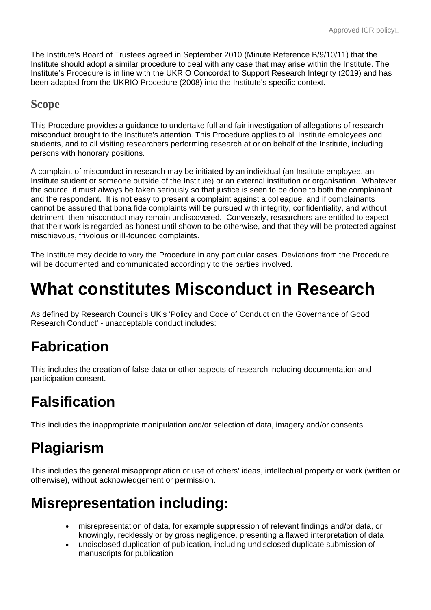The Institute's Board of Trustees agreed in September 2010 (Minute Reference B/9/10/11) that the Institute should adopt a similar procedure to deal with any case that may arise within the Institute. The Institute's Procedure is in line with the UKRIO Concordat to Support Research Integrity (2019) and has been adapted from the UKRIO Procedure (2008) into the Institute's specific context.

#### **Scope**

This Procedure provides a guidance to undertake full and fair investigation of allegations of research misconduct brought to the Institute's attention. This Procedure applies to all Institute employees and students, and to all visiting researchers performing research at or on behalf of the Institute, including persons with honorary positions.

A complaint of misconduct in research may be initiated by an individual (an Institute employee, an Institute student or someone outside of the Institute) or an external institution or organisation. Whatever the source, it must always be taken seriously so that justice is seen to be done to both the complainant and the respondent. It is not easy to present a complaint against a colleague, and if complainants cannot be assured that bona fide complaints will be pursued with integrity, confidentiality, and without detriment, then misconduct may remain undiscovered. Conversely, researchers are entitled to expect that their work is regarded as honest until shown to be otherwise, and that they will be protected against mischievous, frivolous or ill-founded complaints.

The Institute may decide to vary the Procedure in any particular cases. Deviations from the Procedure will be documented and communicated accordingly to the parties involved.

# **What constitutes Misconduct in Research**

As defined by Research Councils UK's 'Policy and Code of Conduct on the Governance of Good Research Conduct' - unacceptable conduct includes:

# **Fabrication**

This includes the creation of false data or other aspects of research including documentation and participation consent.

# **Falsification**

This includes the inappropriate manipulation and/or selection of data, imagery and/or consents.

# **Plagiarism**

This includes the general misappropriation or use of others' ideas, intellectual property or work (written or otherwise), without acknowledgement or permission.

## **Misrepresentation including:**

- misrepresentation of data, for example suppression of relevant findings and/or data, or knowingly, recklessly or by gross negligence, presenting a flawed interpretation of data
- undisclosed duplication of publication, including undisclosed duplicate submission of manuscripts for publication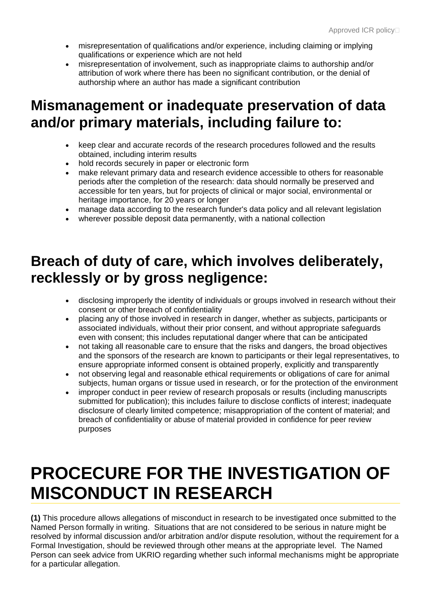- misrepresentation of qualifications and/or experience, including claiming or implying qualifications or experience which are not held
- misrepresentation of involvement, such as inappropriate claims to authorship and/or attribution of work where there has been no significant contribution, or the denial of authorship where an author has made a significant contribution

### **Mismanagement or inadequate preservation of data and/or primary materials, including failure to:**

- keep clear and accurate records of the research procedures followed and the results obtained, including interim results
- hold records securely in paper or electronic form
- make relevant primary data and research evidence accessible to others for reasonable periods after the completion of the research: data should normally be preserved and accessible for ten years, but for projects of clinical or major social, environmental or heritage importance, for 20 years or longer
- manage data according to the research funder's data policy and all relevant legislation
- wherever possible deposit data permanently, with a national collection

### **Breach of duty of care, which involves deliberately, recklessly or by gross negligence:**

- disclosing improperly the identity of individuals or groups involved in research without their consent or other breach of confidentiality
- placing any of those involved in research in danger, whether as subjects, participants or associated individuals, without their prior consent, and without appropriate safeguards even with consent; this includes reputational danger where that can be anticipated
- not taking all reasonable care to ensure that the risks and dangers, the broad objectives and the sponsors of the research are known to participants or their legal representatives, to ensure appropriate informed consent is obtained properly, explicitly and transparently
- not observing legal and reasonable ethical requirements or obligations of care for animal subjects, human organs or tissue used in research, or for the protection of the environment
- improper conduct in peer review of research proposals or results (including manuscripts submitted for publication); this includes failure to disclose conflicts of interest; inadequate disclosure of clearly limited competence; misappropriation of the content of material; and breach of confidentiality or abuse of material provided in confidence for peer review purposes

# **PROCECURE FOR THE INVESTIGATION OF MISCONDUCT IN RESEARCH**

**(1)** This procedure allows allegations of misconduct in research to be investigated once submitted to the Named Person formally in writing. Situations that are not considered to be serious in nature might be resolved by informal discussion and/or arbitration and/or dispute resolution, without the requirement for a Formal Investigation, should be reviewed through other means at the appropriate level. The Named Person can seek advice from UKRIO regarding whether such informal mechanisms might be appropriate for a particular allegation.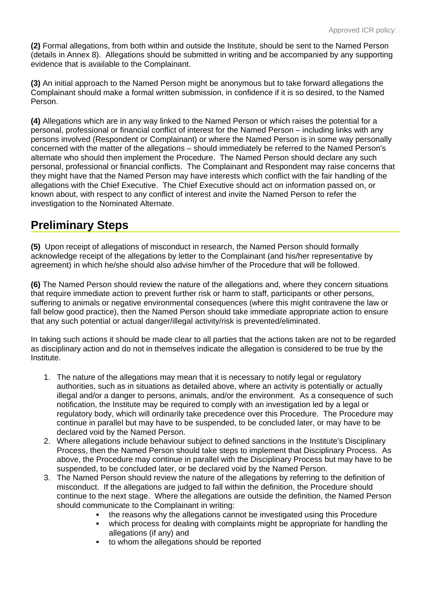**(2)** Formal allegations, from both within and outside the Institute, should be sent to the Named Person (details in Annex 8). Allegations should be submitted in writing and be accompanied by any supporting evidence that is available to the Complainant.

**(3)** An initial approach to the Named Person might be anonymous but to take forward allegations the Complainant should make a formal written submission, in confidence if it is so desired, to the Named Person.

**(4)** Allegations which are in any way linked to the Named Person or which raises the potential for a personal, professional or financial conflict of interest for the Named Person – including links with any persons involved (Respondent or Complainant) or where the Named Person is in some way personally concerned with the matter of the allegations – should immediately be referred to the Named Person's alternate who should then implement the Procedure. The Named Person should declare any such personal, professional or financial conflicts. The Complainant and Respondent may raise concerns that they might have that the Named Person may have interests which conflict with the fair handling of the allegations with the Chief Executive. The Chief Executive should act on information passed on, or known about, with respect to any conflict of interest and invite the Named Person to refer the investigation to the Nominated Alternate.

### **Preliminary Steps**

**(5)** Upon receipt of allegations of misconduct in research, the Named Person should formally acknowledge receipt of the allegations by letter to the Complainant (and his/her representative by agreement) in which he/she should also advise him/her of the Procedure that will be followed.

**(6)** The Named Person should review the nature of the allegations and, where they concern situations that require immediate action to prevent further risk or harm to staff, participants or other persons, suffering to animals or negative environmental consequences (where this might contravene the law or fall below good practice), then the Named Person should take immediate appropriate action to ensure that any such potential or actual danger/illegal activity/risk is prevented/eliminated.

In taking such actions it should be made clear to all parties that the actions taken are not to be regarded as disciplinary action and do not in themselves indicate the allegation is considered to be true by the Institute.

- 1. The nature of the allegations may mean that it is necessary to notify legal or regulatory authorities, such as in situations as detailed above, where an activity is potentially or actually illegal and/or a danger to persons, animals, and/or the environment. As a consequence of such notification, the Institute may be required to comply with an investigation led by a legal or regulatory body, which will ordinarily take precedence over this Procedure. The Procedure may continue in parallel but may have to be suspended, to be concluded later, or may have to be declared void by the Named Person.
- 2. Where allegations include behaviour subject to defined sanctions in the Institute's Disciplinary Process, then the Named Person should take steps to implement that Disciplinary Process. As above, the Procedure may continue in parallel with the Disciplinary Process but may have to be suspended, to be concluded later, or be declared void by the Named Person.
- 3. The Named Person should review the nature of the allegations by referring to the definition of misconduct. If the allegations are judged to fall within the definition, the Procedure should continue to the next stage. Where the allegations are outside the definition, the Named Person should communicate to the Complainant in writing:
	- the reasons why the allegations cannot be investigated using this Procedure
	- which process for dealing with complaints might be appropriate for handling the allegations (if any) and
	- to whom the allegations should be reported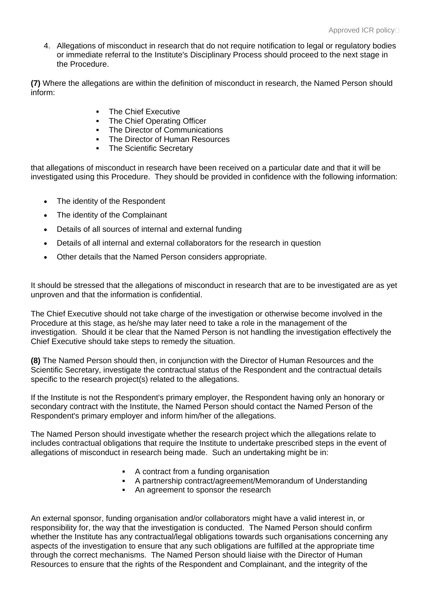4. Allegations of misconduct in research that do not require notification to legal or regulatory bodies or immediate referral to the Institute's Disciplinary Process should proceed to the next stage in the Procedure.

**(7)** Where the allegations are within the definition of misconduct in research, the Named Person should inform:

- **The Chief Executive**
- The Chief Operating Officer
- The Director of Communications
- The Director of Human Resources
- **The Scientific Secretary**

that allegations of misconduct in research have been received on a particular date and that it will be investigated using this Procedure. They should be provided in confidence with the following information:

- The identity of the Respondent
- The identity of the Complainant
- Details of all sources of internal and external funding
- Details of all internal and external collaborators for the research in question
- Other details that the Named Person considers appropriate.

It should be stressed that the allegations of misconduct in research that are to be investigated are as yet unproven and that the information is confidential.

The Chief Executive should not take charge of the investigation or otherwise become involved in the Procedure at this stage, as he/she may later need to take a role in the management of the investigation. Should it be clear that the Named Person is not handling the investigation effectively the Chief Executive should take steps to remedy the situation.

**(8)** The Named Person should then, in conjunction with the Director of Human Resources and the Scientific Secretary, investigate the contractual status of the Respondent and the contractual details specific to the research project(s) related to the allegations.

If the Institute is not the Respondent's primary employer, the Respondent having only an honorary or secondary contract with the Institute, the Named Person should contact the Named Person of the Respondent's primary employer and inform him/her of the allegations.

The Named Person should investigate whether the research project which the allegations relate to includes contractual obligations that require the Institute to undertake prescribed steps in the event of allegations of misconduct in research being made. Such an undertaking might be in:

- A contract from a funding organisation
- A partnership contract/agreement/Memorandum of Understanding
- An agreement to sponsor the research

An external sponsor, funding organisation and/or collaborators might have a valid interest in, or responsibility for, the way that the investigation is conducted. The Named Person should confirm whether the Institute has any contractual/legal obligations towards such organisations concerning any aspects of the investigation to ensure that any such obligations are fulfilled at the appropriate time through the correct mechanisms. The Named Person should liaise with the Director of Human Resources to ensure that the rights of the Respondent and Complainant, and the integrity of the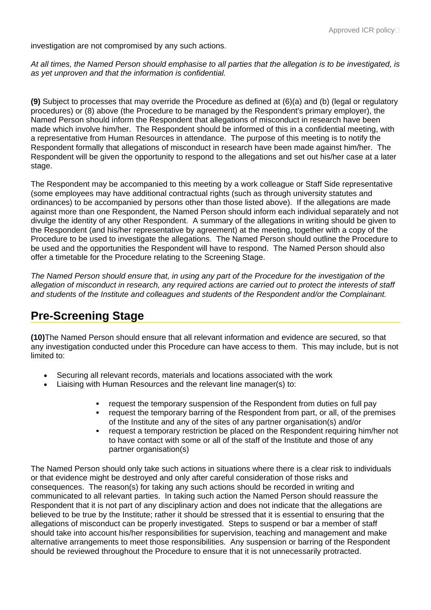investigation are not compromised by any such actions.

*At all times, the Named Person should emphasise to all parties that the allegation is to be investigated, is as yet unproven and that the information is confidential.*

**(9)** Subject to processes that may override the Procedure as defined at (6)(a) and (b) (legal or regulatory procedures) or (8) above (the Procedure to be managed by the Respondent's primary employer), the Named Person should inform the Respondent that allegations of misconduct in research have been made which involve him/her. The Respondent should be informed of this in a confidential meeting, with a representative from Human Resources in attendance. The purpose of this meeting is to notify the Respondent formally that allegations of misconduct in research have been made against him/her. The Respondent will be given the opportunity to respond to the allegations and set out his/her case at a later stage.

The Respondent may be accompanied to this meeting by a work colleague or Staff Side representative (some employees may have additional contractual rights (such as through university statutes and ordinances) to be accompanied by persons other than those listed above). If the allegations are made against more than one Respondent, the Named Person should inform each individual separately and not divulge the identity of any other Respondent. A summary of the allegations in writing should be given to the Respondent (and his/her representative by agreement) at the meeting, together with a copy of the Procedure to be used to investigate the allegations. The Named Person should outline the Procedure to be used and the opportunities the Respondent will have to respond. The Named Person should also offer a timetable for the Procedure relating to the Screening Stage.

*The Named Person should ensure that, in using any part of the Procedure for the investigation of the allegation of misconduct in research, any required actions are carried out to protect the interests of staff and students of the Institute and colleagues and students of the Respondent and/or the Complainant.*

#### **Pre-Screening Stage**

**(10)**The Named Person should ensure that all relevant information and evidence are secured, so that any investigation conducted under this Procedure can have access to them. This may include, but is not limited to:

- Securing all relevant records, materials and locations associated with the work
- Liaising with Human Resources and the relevant line manager(s) to:
	- request the temporary suspension of the Respondent from duties on full pay
	- request the temporary barring of the Respondent from part, or all, of the premises of the Institute and any of the sites of any partner organisation(s) and/or
	- request a temporary restriction be placed on the Respondent requiring him/her not to have contact with some or all of the staff of the Institute and those of any partner organisation(s)

The Named Person should only take such actions in situations where there is a clear risk to individuals or that evidence might be destroyed and only after careful consideration of those risks and consequences. The reason(s) for taking any such actions should be recorded in writing and communicated to all relevant parties. In taking such action the Named Person should reassure the Respondent that it is not part of any disciplinary action and does not indicate that the allegations are believed to be true by the Institute; rather it should be stressed that it is essential to ensuring that the allegations of misconduct can be properly investigated. Steps to suspend or bar a member of staff should take into account his/her responsibilities for supervision, teaching and management and make alternative arrangements to meet those responsibilities. Any suspension or barring of the Respondent should be reviewed throughout the Procedure to ensure that it is not unnecessarily protracted.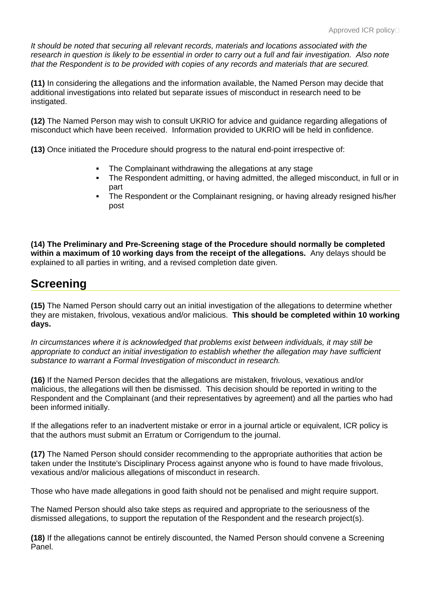*It should be noted that securing all relevant records, materials and locations associated with the research in question is likely to be essential in order to carry out a full and fair investigation. Also note that the Respondent is to be provided with copies of any records and materials that are secured.*

**(11)** In considering the allegations and the information available, the Named Person may decide that additional investigations into related but separate issues of misconduct in research need to be instigated.

**(12)** The Named Person may wish to consult UKRIO for advice and guidance regarding allegations of misconduct which have been received. Information provided to UKRIO will be held in confidence.

**(13)** Once initiated the Procedure should progress to the natural end-point irrespective of:

- The Complainant withdrawing the allegations at any stage
- The Respondent admitting, or having admitted, the alleged misconduct, in full or in part
- The Respondent or the Complainant resigning, or having already resigned his/her post

**(14) The Preliminary and Pre-Screening stage of the Procedure should normally be completed within a maximum of 10 working days from the receipt of the allegations.** Any delays should be explained to all parties in writing, and a revised completion date given.

#### **Screening**

**(15)** The Named Person should carry out an initial investigation of the allegations to determine whether they are mistaken, frivolous, vexatious and/or malicious. **This should be completed within 10 working days.**

*In circumstances where it is acknowledged that problems exist between individuals, it may still be appropriate to conduct an initial investigation to establish whether the allegation may have sufficient substance to warrant a Formal Investigation of misconduct in research.*

**(16)** If the Named Person decides that the allegations are mistaken, frivolous, vexatious and/or malicious, the allegations will then be dismissed. This decision should be reported in writing to the Respondent and the Complainant (and their representatives by agreement) and all the parties who had been informed initially.

If the allegations refer to an inadvertent mistake or error in a journal article or equivalent, ICR policy is that the authors must submit an Erratum or Corrigendum to the journal.

**(17)** The Named Person should consider recommending to the appropriate authorities that action be taken under the Institute's Disciplinary Process against anyone who is found to have made frivolous, vexatious and/or malicious allegations of misconduct in research.

Those who have made allegations in good faith should not be penalised and might require support.

The Named Person should also take steps as required and appropriate to the seriousness of the dismissed allegations, to support the reputation of the Respondent and the research project(s).

**(18)** If the allegations cannot be entirely discounted, the Named Person should convene a Screening Panel.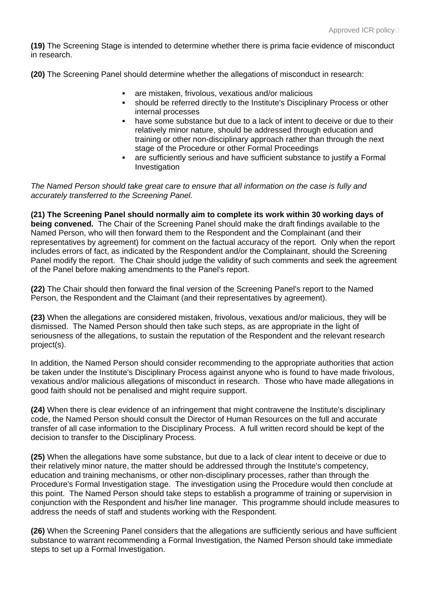**(19)** The Screening Stage is intended to determine whether there is prima facie evidence of misconduct in research.

**(20)** The Screening Panel should determine whether the allegations of misconduct in research:

- are mistaken, frivolous, vexatious and/or malicious
- should be referred directly to the Institute's Disciplinary Process or other internal processes
- have some substance but due to a lack of intent to deceive or due to their relatively minor nature, should be addressed through education and training or other non-disciplinary approach rather than through the next stage of the Procedure or other Formal Proceedings
- are sufficiently serious and have sufficient substance to justify a Formal Investigation

*The Named Person should take great care to ensure that all information on the case is fully and accurately transferred to the Screening Panel.*

**(21) The Screening Panel should normally aim to complete its work within 30 working days of being convened.** The Chair of the Screening Panel should make the draft findings available to the Named Person, who will then forward them to the Respondent and the Complainant (and their representatives by agreement) for comment on the factual accuracy of the report. Only when the report includes errors of fact, as indicated by the Respondent and/or the Complainant, should the Screening Panel modify the report. The Chair should judge the validity of such comments and seek the agreement of the Panel before making amendments to the Panel's report.

**(22)** The Chair should then forward the final version of the Screening Panel's report to the Named Person, the Respondent and the Claimant (and their representatives by agreement).

**(23)** When the allegations are considered mistaken, frivolous, vexatious and/or malicious, they will be dismissed. The Named Person should then take such steps, as are appropriate in the light of seriousness of the allegations, to sustain the reputation of the Respondent and the relevant research project(s).

In addition, the Named Person should consider recommending to the appropriate authorities that action be taken under the Institute's Disciplinary Process against anyone who is found to have made frivolous, vexatious and/or malicious allegations of misconduct in research. Those who have made allegations in good faith should not be penalised and might require support.

**(24)** When there is clear evidence of an infringement that might contravene the Institute's disciplinary code, the Named Person should consult the Director of Human Resources on the full and accurate transfer of all case information to the Disciplinary Process. A full written record should be kept of the decision to transfer to the Disciplinary Process.

**(25)** When the allegations have some substance, but due to a lack of clear intent to deceive or due to their relatively minor nature, the matter should be addressed through the Institute's competency, education and training mechanisms, or other non-disciplinary processes, rather than through the Procedure's Formal Investigation stage. The investigation using the Procedure would then conclude at this point. The Named Person should take steps to establish a programme of training or supervision in conjunction with the Respondent and his/her line manager. This programme should include measures to address the needs of staff and students working with the Respondent.

**(26)** When the Screening Panel considers that the allegations are sufficiently serious and have sufficient substance to warrant recommending a Formal Investigation, the Named Person should take immediate steps to set up a Formal Investigation.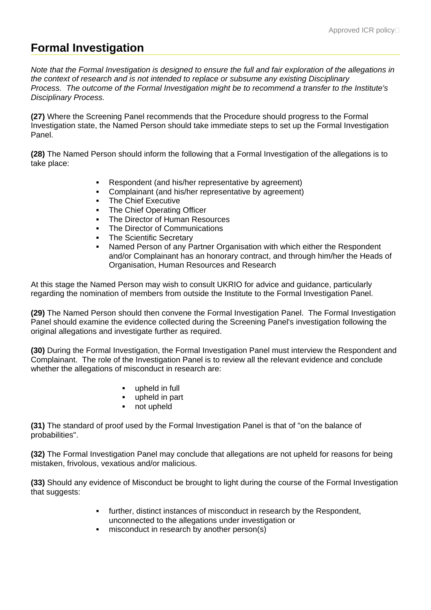### **Formal Investigation**

*Note that the Formal Investigation is designed to ensure the full and fair exploration of the allegations in the context of research and is not intended to replace or subsume any existing Disciplinary Process. The outcome of the Formal Investigation might be to recommend a transfer to the Institute's Disciplinary Process.*

**(27)** Where the Screening Panel recommends that the Procedure should progress to the Formal Investigation state, the Named Person should take immediate steps to set up the Formal Investigation Panel.

**(28)** The Named Person should inform the following that a Formal Investigation of the allegations is to take place:

- Respondent (and his/her representative by agreement)
- Complainant (and his/her representative by agreement)
- The Chief Executive
- The Chief Operating Officer
- The Director of Human Resources
- The Director of Communications
- The Scientific Secretary
- Named Person of any Partner Organisation with which either the Respondent and/or Complainant has an honorary contract, and through him/her the Heads of Organisation, Human Resources and Research

At this stage the Named Person may wish to consult UKRIO for advice and guidance, particularly regarding the nomination of members from outside the Institute to the Formal Investigation Panel.

**(29)** The Named Person should then convene the Formal Investigation Panel. The Formal Investigation Panel should examine the evidence collected during the Screening Panel's investigation following the original allegations and investigate further as required.

**(30)** During the Formal Investigation, the Formal Investigation Panel must interview the Respondent and Complainant. The role of the Investigation Panel is to review all the relevant evidence and conclude whether the allegations of misconduct in research are:

- **upheld in full**
- upheld in part
- not upheld

**(31)** The standard of proof used by the Formal Investigation Panel is that of "on the balance of probabilities".

**(32)** The Formal Investigation Panel may conclude that allegations are not upheld for reasons for being mistaken, frivolous, vexatious and/or malicious.

**(33)** Should any evidence of Misconduct be brought to light during the course of the Formal Investigation that suggests:

- further, distinct instances of misconduct in research by the Respondent, unconnected to the allegations under investigation or
- misconduct in research by another person(s)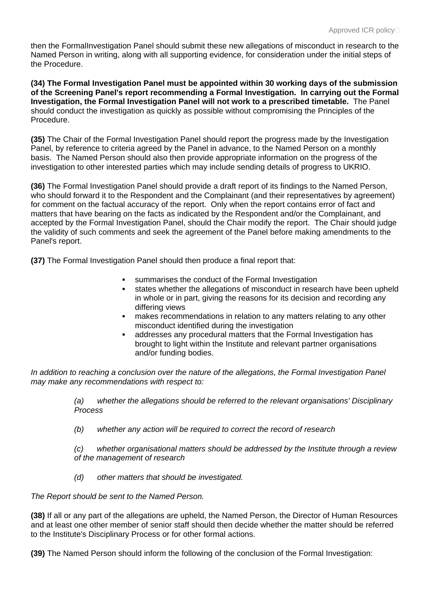then the FormalInvestigation Panel should submit these new allegations of misconduct in research to the Named Person in writing, along with all supporting evidence, for consideration under the initial steps of the Procedure.

**(34) The Formal Investigation Panel must be appointed within 30 working days of the submission of the Screening Panel's report recommending a Formal Investigation. In carrying out the Formal Investigation, the Formal Investigation Panel will not work to a prescribed timetable.** The Panel should conduct the investigation as quickly as possible without compromising the Principles of the Procedure.

**(35)** The Chair of the Formal Investigation Panel should report the progress made by the Investigation Panel, by reference to criteria agreed by the Panel in advance, to the Named Person on a monthly basis. The Named Person should also then provide appropriate information on the progress of the investigation to other interested parties which may include sending details of progress to UKRIO.

**(36)** The Formal Investigation Panel should provide a draft report of its findings to the Named Person, who should forward it to the Respondent and the Complainant (and their representatives by agreement) for comment on the factual accuracy of the report. Only when the report contains error of fact and matters that have bearing on the facts as indicated by the Respondent and/or the Complainant, and accepted by the Formal Investigation Panel, should the Chair modify the report. The Chair should judge the validity of such comments and seek the agreement of the Panel before making amendments to the Panel's report.

**(37)** The Formal Investigation Panel should then produce a final report that:

- summarises the conduct of the Formal Investigation
- states whether the allegations of misconduct in research have been upheld in whole or in part, giving the reasons for its decision and recording any differing views
- makes recommendations in relation to any matters relating to any other misconduct identified during the investigation
- addresses any procedural matters that the Formal Investigation has brought to light within the Institute and relevant partner organisations and/or funding bodies.

*In addition to reaching a conclusion over the nature of the allegations, the Formal Investigation Panel may make any recommendations with respect to:*

> *(a) whether the allegations should be referred to the relevant organisations' Disciplinary Process*

*(b) whether any action will be required to correct the record of research*

*(c) whether organisational matters should be addressed by the Institute through a review of the management of research*

*(d) other matters that should be investigated.*

*The Report should be sent to the Named Person.*

**(38)** If all or any part of the allegations are upheld, the Named Person, the Director of Human Resources and at least one other member of senior staff should then decide whether the matter should be referred to the Institute's Disciplinary Process or for other formal actions.

**(39)** The Named Person should inform the following of the conclusion of the Formal Investigation: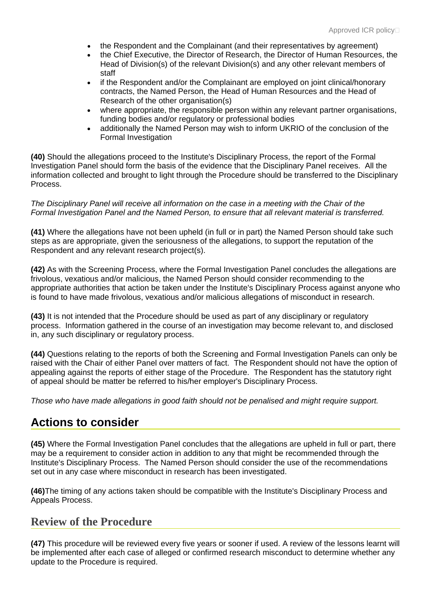- the Respondent and the Complainant (and their representatives by agreement)
- the Chief Executive, the Director of Research, the Director of Human Resources, the Head of Division(s) of the relevant Division(s) and any other relevant members of staff
- if the Respondent and/or the Complainant are employed on joint clinical/honorary contracts, the Named Person, the Head of Human Resources and the Head of Research of the other organisation(s)
- where appropriate, the responsible person within any relevant partner organisations, funding bodies and/or regulatory or professional bodies
- additionally the Named Person may wish to inform UKRIO of the conclusion of the Formal Investigation

**(40)** Should the allegations proceed to the Institute's Disciplinary Process, the report of the Formal Investigation Panel should form the basis of the evidence that the Disciplinary Panel receives. All the information collected and brought to light through the Procedure should be transferred to the Disciplinary Process.

#### *The Disciplinary Panel will receive all information on the case in a meeting with the Chair of the Formal Investigation Panel and the Named Person, to ensure that all relevant material is transferred.*

**(41)** Where the allegations have not been upheld (in full or in part) the Named Person should take such steps as are appropriate, given the seriousness of the allegations, to support the reputation of the Respondent and any relevant research project(s).

**(42)** As with the Screening Process, where the Formal Investigation Panel concludes the allegations are frivolous, vexatious and/or malicious, the Named Person should consider recommending to the appropriate authorities that action be taken under the Institute's Disciplinary Process against anyone who is found to have made frivolous, vexatious and/or malicious allegations of misconduct in research.

**(43)** It is not intended that the Procedure should be used as part of any disciplinary or regulatory process. Information gathered in the course of an investigation may become relevant to, and disclosed in, any such disciplinary or regulatory process.

**(44)** Questions relating to the reports of both the Screening and Formal Investigation Panels can only be raised with the Chair of either Panel over matters of fact. The Respondent should not have the option of appealing against the reports of either stage of the Procedure. The Respondent has the statutory right of appeal should be matter be referred to his/her employer's Disciplinary Process.

*Those who have made allegations in good faith should not be penalised and might require support.*

#### **Actions to consider**

**(45)** Where the Formal Investigation Panel concludes that the allegations are upheld in full or part, there may be a requirement to consider action in addition to any that might be recommended through the Institute's Disciplinary Process. The Named Person should consider the use of the recommendations set out in any case where misconduct in research has been investigated.

**(46)**The timing of any actions taken should be compatible with the Institute's Disciplinary Process and Appeals Process.

#### **Review of the Procedure**

**(47)** This procedure will be reviewed every five years or sooner if used. A review of the lessons learnt will be implemented after each case of alleged or confirmed research misconduct to determine whether any update to the Procedure is required.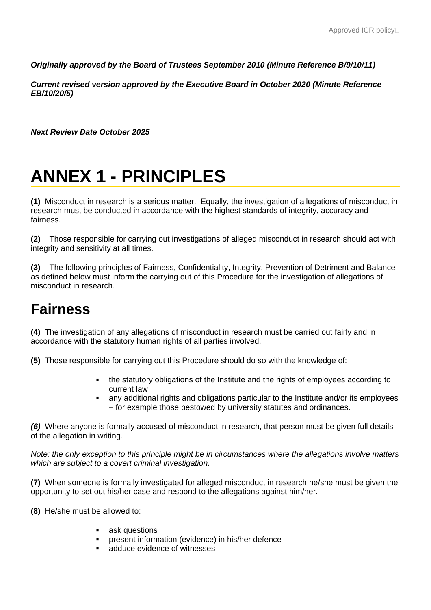*Originally approved by the Board of Trustees September 2010 (Minute Reference B/9/10/11)*

*Current revised version approved by the Executive Board in October 2020 (Minute Reference EB/10/20/5)*

*Next Review Date October 2025*

# **ANNEX 1 - PRINCIPLES**

**(1)** Misconduct in research is a serious matter. Equally, the investigation of allegations of misconduct in research must be conducted in accordance with the highest standards of integrity, accuracy and fairness.

**(2)** Those responsible for carrying out investigations of alleged misconduct in research should act with integrity and sensitivity at all times.

**(3)** The following principles of Fairness, Confidentiality, Integrity, Prevention of Detriment and Balance as defined below must inform the carrying out of this Procedure for the investigation of allegations of misconduct in research.

### **Fairness**

**(4)** The investigation of any allegations of misconduct in research must be carried out fairly and in accordance with the statutory human rights of all parties involved.

**(5)** Those responsible for carrying out this Procedure should do so with the knowledge of:

- the statutory obligations of the Institute and the rights of employees according to current law
- any additional rights and obligations particular to the Institute and/or its employees – for example those bestowed by university statutes and ordinances.

*(6)* Where anyone is formally accused of misconduct in research, that person must be given full details of the allegation in writing.

*Note: the only exception to this principle might be in circumstances where the allegations involve matters which are subject to a covert criminal investigation.*

**(7)** When someone is formally investigated for alleged misconduct in research he/she must be given the opportunity to set out his/her case and respond to the allegations against him/her.

**(8)** He/she must be allowed to:

- **ask questions**
- present information (evidence) in his/her defence
- adduce evidence of witnesses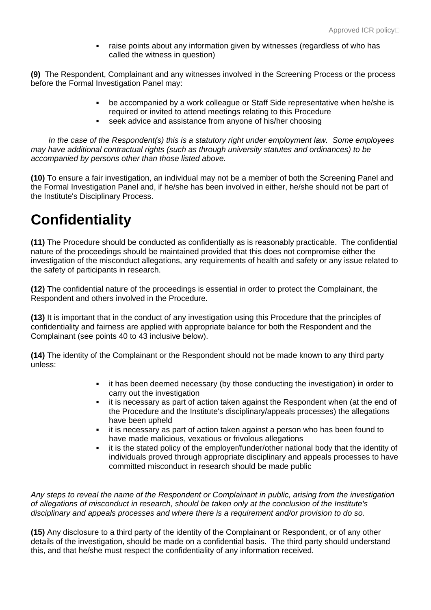raise points about any information given by witnesses (regardless of who has called the witness in question)

**(9)** The Respondent, Complainant and any witnesses involved in the Screening Process or the process before the Formal Investigation Panel may:

- be accompanied by a work colleague or Staff Side representative when he/she is required or invited to attend meetings relating to this Procedure
- seek advice and assistance from anyone of his/her choosing

 *In the case of the Respondent(s) this is a statutory right under employment law. Some employees may have additional contractual rights (such as through university statutes and ordinances) to be accompanied by persons other than those listed above.*

**(10)** To ensure a fair investigation, an individual may not be a member of both the Screening Panel and the Formal Investigation Panel and, if he/she has been involved in either, he/she should not be part of the Institute's Disciplinary Process.

## **Confidentiality**

**(11)** The Procedure should be conducted as confidentially as is reasonably practicable. The confidential nature of the proceedings should be maintained provided that this does not compromise either the investigation of the misconduct allegations, any requirements of health and safety or any issue related to the safety of participants in research.

**(12)** The confidential nature of the proceedings is essential in order to protect the Complainant, the Respondent and others involved in the Procedure.

**(13)** It is important that in the conduct of any investigation using this Procedure that the principles of confidentiality and fairness are applied with appropriate balance for both the Respondent and the Complainant (see points 40 to 43 inclusive below).

**(14)** The identity of the Complainant or the Respondent should not be made known to any third party unless:

- **EXECT** it has been deemed necessary (by those conducting the investigation) in order to carry out the investigation
- it is necessary as part of action taken against the Respondent when (at the end of the Procedure and the Institute's disciplinary/appeals processes) the allegations have been upheld
- it is necessary as part of action taken against a person who has been found to have made malicious, vexatious or frivolous allegations
- it is the stated policy of the employer/funder/other national body that the identity of individuals proved through appropriate disciplinary and appeals processes to have committed misconduct in research should be made public

*Any steps to reveal the name of the Respondent or Complainant in public, arising from the investigation of allegations of misconduct in research, should be taken only at the conclusion of the Institute's disciplinary and appeals processes and where there is a requirement and/or provision to do so.*

**(15)** Any disclosure to a third party of the identity of the Complainant or Respondent, or of any other details of the investigation, should be made on a confidential basis. The third party should understand this, and that he/she must respect the confidentiality of any information received.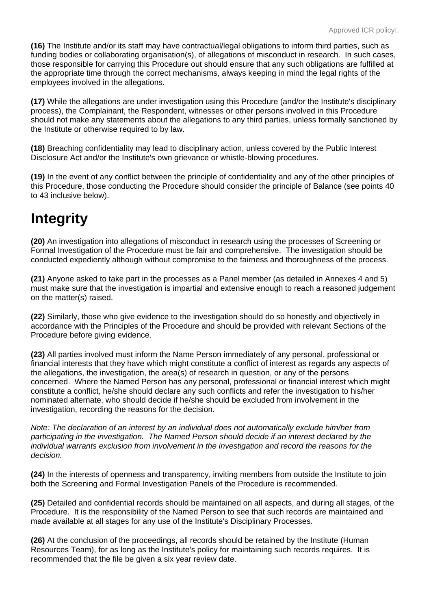**(16)** The Institute and/or its staff may have contractual/legal obligations to inform third parties, such as funding bodies or collaborating organisation(s), of allegations of misconduct in research. In such cases, those responsible for carrying this Procedure out should ensure that any such obligations are fulfilled at the appropriate time through the correct mechanisms, always keeping in mind the legal rights of the employees involved in the allegations.

**(17)** While the allegations are under investigation using this Procedure (and/or the Institute's disciplinary process), the Complainant, the Respondent, witnesses or other persons involved in this Procedure should not make any statements about the allegations to any third parties, unless formally sanctioned by the Institute or otherwise required to by law.

**(18)** Breaching confidentiality may lead to disciplinary action, unless covered by the Public Interest Disclosure Act and/or the Institute's own grievance or whistle-blowing procedures.

**(19)** In the event of any conflict between the principle of confidentiality and any of the other principles of this Procedure, those conducting the Procedure should consider the principle of Balance (see points 40 to 43 inclusive below).

## **Integrity**

**(20)** An investigation into allegations of misconduct in research using the processes of Screening or Formal Investigation of the Procedure must be fair and comprehensive. The investigation should be conducted expediently although without compromise to the fairness and thoroughness of the process.

**(21)** Anyone asked to take part in the processes as a Panel member (as detailed in Annexes 4 and 5) must make sure that the investigation is impartial and extensive enough to reach a reasoned judgement on the matter(s) raised.

**(22)** Similarly, those who give evidence to the investigation should do so honestly and objectively in accordance with the Principles of the Procedure and should be provided with relevant Sections of the Procedure before giving evidence.

**(23)** All parties involved must inform the Name Person immediately of any personal, professional or financial interests that they have which might constitute a conflict of interest as regards any aspects of the allegations, the investigation, the area(s) of research in question, or any of the persons concerned. Where the Named Person has any personal, professional or financial interest which might constitute a conflict, he/she should declare any such conflicts and refer the investigation to his/her nominated alternate, who should decide if he/she should be excluded from involvement in the investigation, recording the reasons for the decision.

*Note: The declaration of an interest by an individual does not automatically exclude him/her from participating in the investigation. The Named Person should decide if an interest declared by the individual warrants exclusion from involvement in the investigation and record the reasons for the decision.*

**(24)** In the interests of openness and transparency, inviting members from outside the Institute to join both the Screening and Formal Investigation Panels of the Procedure is recommended.

**(25)** Detailed and confidential records should be maintained on all aspects, and during all stages, of the Procedure. It is the responsibility of the Named Person to see that such records are maintained and made available at all stages for any use of the Institute's Disciplinary Processes.

**(26)** At the conclusion of the proceedings, all records should be retained by the Institute (Human Resources Team), for as long as the Institute's policy for maintaining such records requires. It is recommended that the file be given a six year review date.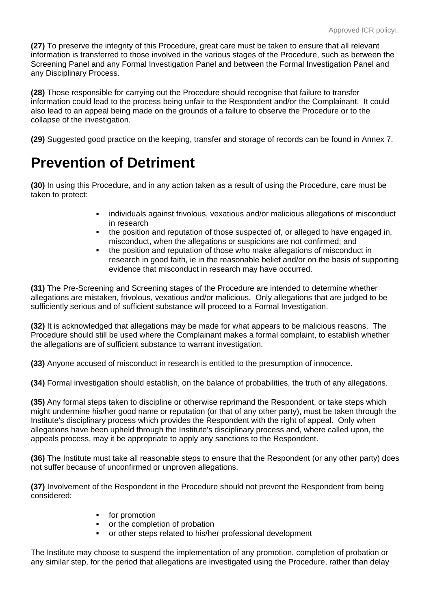**(27)** To preserve the integrity of this Procedure, great care must be taken to ensure that all relevant information is transferred to those involved in the various stages of the Procedure, such as between the Screening Panel and any Formal Investigation Panel and between the Formal Investigation Panel and any Disciplinary Process.

**(28)** Those responsible for carrying out the Procedure should recognise that failure to transfer information could lead to the process being unfair to the Respondent and/or the Complainant. It could also lead to an appeal being made on the grounds of a failure to observe the Procedure or to the collapse of the investigation.

**(29)** Suggested good practice on the keeping, transfer and storage of records can be found in Annex 7.

### **Prevention of Detriment**

**(30)** In using this Procedure, and in any action taken as a result of using the Procedure, care must be taken to protect:

- individuals against frivolous, vexatious and/or malicious allegations of misconduct in research
- the position and reputation of those suspected of, or alleged to have engaged in, misconduct, when the allegations or suspicions are not confirmed; and
- the position and reputation of those who make allegations of misconduct in research in good faith, ie in the reasonable belief and/or on the basis of supporting evidence that misconduct in research may have occurred.

**(31)** The Pre-Screening and Screening stages of the Procedure are intended to determine whether allegations are mistaken, frivolous, vexatious and/or malicious. Only allegations that are judged to be sufficiently serious and of sufficient substance will proceed to a Formal Investigation.

**(32)** It is acknowledged that allegations may be made for what appears to be malicious reasons. The Procedure should still be used where the Complainant makes a formal complaint, to establish whether the allegations are of sufficient substance to warrant investigation.

**(33)** Anyone accused of misconduct in research is entitled to the presumption of innocence.

**(34)** Formal investigation should establish, on the balance of probabilities, the truth of any allegations.

**(35)** Any formal steps taken to discipline or otherwise reprimand the Respondent, or take steps which might undermine his/her good name or reputation (or that of any other party), must be taken through the Institute's disciplinary process which provides the Respondent with the right of appeal. Only when allegations have been upheld through the Institute's disciplinary process and, where called upon, the appeals process, may it be appropriate to apply any sanctions to the Respondent.

**(36)** The Institute must take all reasonable steps to ensure that the Respondent (or any other party) does not suffer because of unconfirmed or unproven allegations.

**(37)** Involvement of the Respondent in the Procedure should not prevent the Respondent from being considered:

- **for promotion**
- or the completion of probation
- or other steps related to his/her professional development

The Institute may choose to suspend the implementation of any promotion, completion of probation or any similar step, for the period that allegations are investigated using the Procedure, rather than delay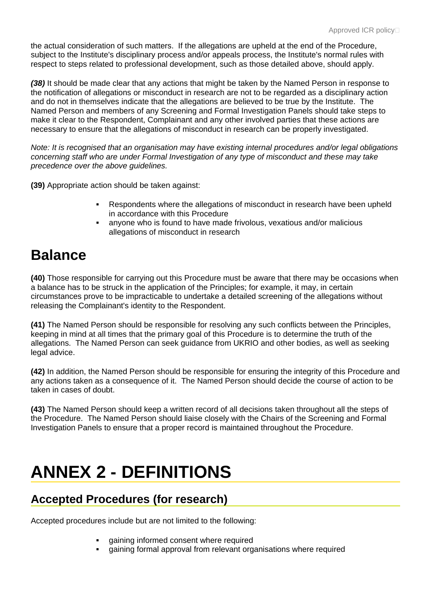the actual consideration of such matters. If the allegations are upheld at the end of the Procedure, subject to the Institute's disciplinary process and/or appeals process, the Institute's normal rules with respect to steps related to professional development, such as those detailed above, should apply.

*(38)* It should be made clear that any actions that might be taken by the Named Person in response to the notification of allegations or misconduct in research are not to be regarded as a disciplinary action and do not in themselves indicate that the allegations are believed to be true by the Institute. The Named Person and members of any Screening and Formal Investigation Panels should take steps to make it clear to the Respondent, Complainant and any other involved parties that these actions are necessary to ensure that the allegations of misconduct in research can be properly investigated.

*Note: It is recognised that an organisation may have existing internal procedures and/or legal obligations concerning staff who are under Formal Investigation of any type of misconduct and these may take precedence over the above guidelines.*

**(39)** Appropriate action should be taken against:

- Respondents where the allegations of misconduct in research have been upheld in accordance with this Procedure
- anyone who is found to have made frivolous, vexatious and/or malicious allegations of misconduct in research

### **Balance**

**(40)** Those responsible for carrying out this Procedure must be aware that there may be occasions when a balance has to be struck in the application of the Principles; for example, it may, in certain circumstances prove to be impracticable to undertake a detailed screening of the allegations without releasing the Complainant's identity to the Respondent.

**(41)** The Named Person should be responsible for resolving any such conflicts between the Principles, keeping in mind at all times that the primary goal of this Procedure is to determine the truth of the allegations. The Named Person can seek guidance from UKRIO and other bodies, as well as seeking legal advice.

**(42)** In addition, the Named Person should be responsible for ensuring the integrity of this Procedure and any actions taken as a consequence of it. The Named Person should decide the course of action to be taken in cases of doubt.

**(43)** The Named Person should keep a written record of all decisions taken throughout all the steps of the Procedure. The Named Person should liaise closely with the Chairs of the Screening and Formal Investigation Panels to ensure that a proper record is maintained throughout the Procedure.

# **ANNEX 2 - DEFINITIONS**

#### **Accepted Procedures (for research)**

Accepted procedures include but are not limited to the following:

- gaining informed consent where required
- gaining formal approval from relevant organisations where required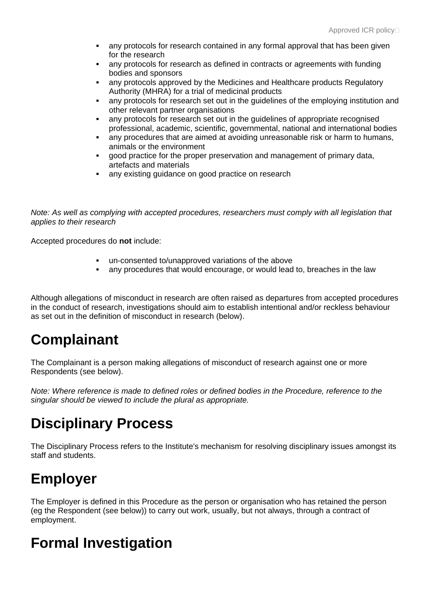- any protocols for research contained in any formal approval that has been given for the research
- any protocols for research as defined in contracts or agreements with funding bodies and sponsors
- any protocols approved by the Medicines and Healthcare products Regulatory Authority (MHRA) for a trial of medicinal products
- any protocols for research set out in the guidelines of the employing institution and other relevant partner organisations
- any protocols for research set out in the guidelines of appropriate recognised professional, academic, scientific, governmental, national and international bodies
- any procedures that are aimed at avoiding unreasonable risk or harm to humans, animals or the environment
- good practice for the proper preservation and management of primary data, artefacts and materials
- any existing guidance on good practice on research

*Note: As well as complying with accepted procedures, researchers must comply with all legislation that applies to their research*

Accepted procedures do **not** include:

- un-consented to/unapproved variations of the above
- any procedures that would encourage, or would lead to, breaches in the law

Although allegations of misconduct in research are often raised as departures from accepted procedures in the conduct of research, investigations should aim to establish intentional and/or reckless behaviour as set out in the definition of misconduct in research (below).

# **Complainant**

The Complainant is a person making allegations of misconduct of research against one or more Respondents (see below).

*Note: Where reference is made to defined roles or defined bodies in the Procedure, reference to the singular should be viewed to include the plural as appropriate.*

## **Disciplinary Process**

The Disciplinary Process refers to the Institute's mechanism for resolving disciplinary issues amongst its staff and students.

# **Employer**

The Employer is defined in this Procedure as the person or organisation who has retained the person (eg the Respondent (see below)) to carry out work, usually, but not always, through a contract of employment.

### **Formal Investigation**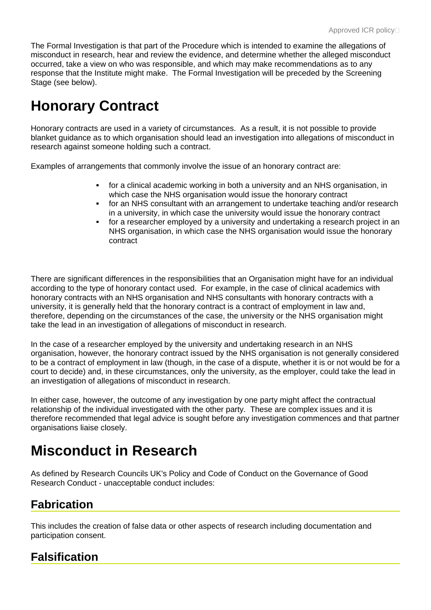The Formal Investigation is that part of the Procedure which is intended to examine the allegations of misconduct in research, hear and review the evidence, and determine whether the alleged misconduct occurred, take a view on who was responsible, and which may make recommendations as to any response that the Institute might make. The Formal Investigation will be preceded by the Screening Stage (see below).

# **Honorary Contract**

Honorary contracts are used in a variety of circumstances. As a result, it is not possible to provide blanket guidance as to which organisation should lead an investigation into allegations of misconduct in research against someone holding such a contract.

Examples of arrangements that commonly involve the issue of an honorary contract are:

- for a clinical academic working in both a university and an NHS organisation, in which case the NHS organisation would issue the honorary contract
- for an NHS consultant with an arrangement to undertake teaching and/or research in a university, in which case the university would issue the honorary contract
- for a researcher employed by a university and undertaking a research project in an NHS organisation, in which case the NHS organisation would issue the honorary contract

There are significant differences in the responsibilities that an Organisation might have for an individual according to the type of honorary contact used. For example, in the case of clinical academics with honorary contracts with an NHS organisation and NHS consultants with honorary contracts with a university, it is generally held that the honorary contract is a contract of employment in law and, therefore, depending on the circumstances of the case, the university or the NHS organisation might take the lead in an investigation of allegations of misconduct in research.

In the case of a researcher employed by the university and undertaking research in an NHS organisation, however, the honorary contract issued by the NHS organisation is not generally considered to be a contract of employment in law (though, in the case of a dispute, whether it is or not would be for a court to decide) and, in these circumstances, only the university, as the employer, could take the lead in an investigation of allegations of misconduct in research.

In either case, however, the outcome of any investigation by one party might affect the contractual relationship of the individual investigated with the other party. These are complex issues and it is therefore recommended that legal advice is sought before any investigation commences and that partner organisations liaise closely.

# **Misconduct in Research**

As defined by Research Councils UK's Policy and Code of Conduct on the Governance of Good Research Conduct - unacceptable conduct includes:

#### **Fabrication**

This includes the creation of false data or other aspects of research including documentation and participation consent.

#### **Falsification**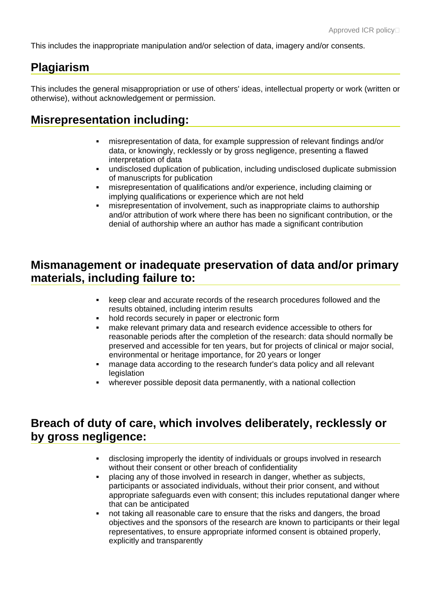This includes the inappropriate manipulation and/or selection of data, imagery and/or consents.

#### **Plagiarism**

This includes the general misappropriation or use of others' ideas, intellectual property or work (written or otherwise), without acknowledgement or permission.

#### **Misrepresentation including:**

- misrepresentation of data, for example suppression of relevant findings and/or data, or knowingly, recklessly or by gross negligence, presenting a flawed interpretation of data
- undisclosed duplication of publication, including undisclosed duplicate submission of manuscripts for publication
- misrepresentation of qualifications and/or experience, including claiming or implying qualifications or experience which are not held
- misrepresentation of involvement, such as inappropriate claims to authorship and/or attribution of work where there has been no significant contribution, or the denial of authorship where an author has made a significant contribution

#### **Mismanagement or inadequate preservation of data and/or primary materials, including failure to:**

- keep clear and accurate records of the research procedures followed and the results obtained, including interim results
- hold records securely in paper or electronic form
- make relevant primary data and research evidence accessible to others for reasonable periods after the completion of the research: data should normally be preserved and accessible for ten years, but for projects of clinical or major social, environmental or heritage importance, for 20 years or longer
- manage data according to the research funder's data policy and all relevant **legislation**
- wherever possible deposit data permanently, with a national collection

#### **Breach of duty of care, which involves deliberately, recklessly or by gross negligence:**

- disclosing improperly the identity of individuals or groups involved in research without their consent or other breach of confidentiality
- placing any of those involved in research in danger, whether as subjects, participants or associated individuals, without their prior consent, and without appropriate safeguards even with consent; this includes reputational danger where that can be anticipated
- not taking all reasonable care to ensure that the risks and dangers, the broad objectives and the sponsors of the research are known to participants or their legal representatives, to ensure appropriate informed consent is obtained properly, explicitly and transparently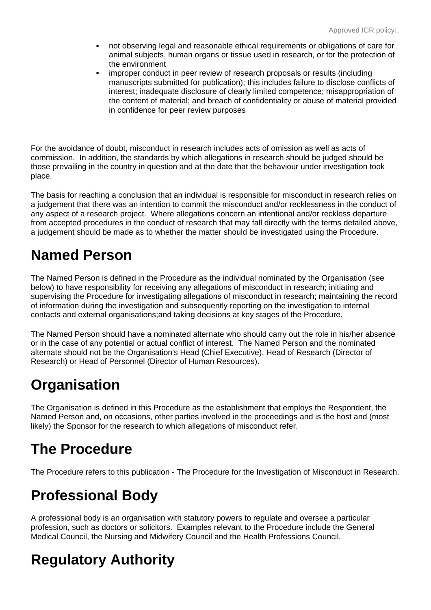- not observing legal and reasonable ethical requirements or obligations of care for animal subjects, human organs or tissue used in research, or for the protection of the environment
- improper conduct in peer review of research proposals or results (including manuscripts submitted for publication); this includes failure to disclose conflicts of interest; inadequate disclosure of clearly limited competence; misappropriation of the content of material; and breach of confidentiality or abuse of material provided in confidence for peer review purposes

For the avoidance of doubt, misconduct in research includes acts of omission as well as acts of commission. In addition, the standards by which allegations in research should be judged should be those prevailing in the country in question and at the date that the behaviour under investigation took place.

The basis for reaching a conclusion that an individual is responsible for misconduct in research relies on a judgement that there was an intention to commit the misconduct and/or recklessness in the conduct of any aspect of a research project. Where allegations concern an intentional and/or reckless departure from accepted procedures in the conduct of research that may fall directly with the terms detailed above, a judgement should be made as to whether the matter should be investigated using the Procedure.

## **Named Person**

The Named Person is defined in the Procedure as the individual nominated by the Organisation (see below) to have responsibility for receiving any allegations of misconduct in research; initiating and supervising the Procedure for investigating allegations of misconduct in research; maintaining the record of information during the investigation and subsequently reporting on the investigation to internal contacts and external organisations;and taking decisions at key stages of the Procedure.

The Named Person should have a nominated alternate who should carry out the role in his/her absence or in the case of any potential or actual conflict of interest. The Named Person and the nominated alternate should not be the Organisation's Head (Chief Executive), Head of Research (Director of Research) or Head of Personnel (Director of Human Resources).

# **Organisation**

The Organisation is defined in this Procedure as the establishment that employs the Respondent, the Named Person and, on occasions, other parties involved in the proceedings and is the host and (most likely) the Sponsor for the research to which allegations of misconduct refer.

# **The Procedure**

The Procedure refers to this publication - The Procedure for the Investigation of Misconduct in Research.

## **Professional Body**

A professional body is an organisation with statutory powers to regulate and oversee a particular profession, such as doctors or solicitors. Examples relevant to the Procedure include the General Medical Council, the Nursing and Midwifery Council and the Health Professions Council.

# **Regulatory Authority**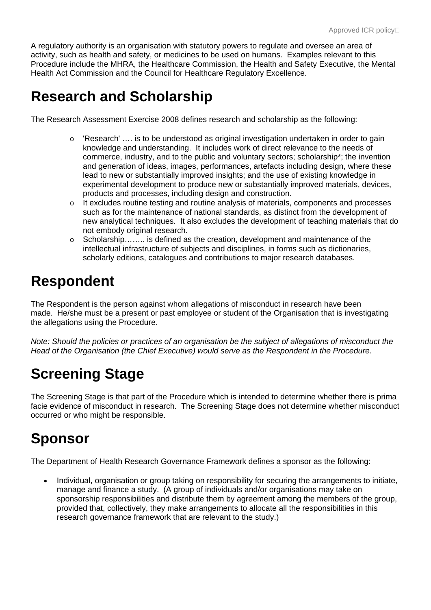A regulatory authority is an organisation with statutory powers to regulate and oversee an area of activity, such as health and safety, or medicines to be used on humans. Examples relevant to this Procedure include the MHRA, the Healthcare Commission, the Health and Safety Executive, the Mental Health Act Commission and the Council for Healthcare Regulatory Excellence.

### **Research and Scholarship**

The Research Assessment Exercise 2008 defines research and scholarship as the following:

- o 'Research' …. is to be understood as original investigation undertaken in order to gain knowledge and understanding. It includes work of direct relevance to the needs of commerce, industry, and to the public and voluntary sectors; scholarship\*; the invention and generation of ideas, images, performances, artefacts including design, where these lead to new or substantially improved insights; and the use of existing knowledge in experimental development to produce new or substantially improved materials, devices, products and processes, including design and construction.
- o It excludes routine testing and routine analysis of materials, components and processes such as for the maintenance of national standards, as distinct from the development of new analytical techniques. It also excludes the development of teaching materials that do not embody original research.
- o Scholarship…….. is defined as the creation, development and maintenance of the intellectual infrastructure of subjects and disciplines, in forms such as dictionaries, scholarly editions, catalogues and contributions to major research databases.

## **Respondent**

The Respondent is the person against whom allegations of misconduct in research have been made. He/she must be a present or past employee or student of the Organisation that is investigating the allegations using the Procedure.

*Note: Should the policies or practices of an organisation be the subject of allegations of misconduct the Head of the Organisation (the Chief Executive) would serve as the Respondent in the Procedure.*

# **Screening Stage**

The Screening Stage is that part of the Procedure which is intended to determine whether there is prima facie evidence of misconduct in research. The Screening Stage does not determine whether misconduct occurred or who might be responsible.

# **Sponsor**

The Department of Health Research Governance Framework defines a sponsor as the following:

• Individual, organisation or group taking on responsibility for securing the arrangements to initiate, manage and finance a study. (A group of individuals and/or organisations may take on sponsorship responsibilities and distribute them by agreement among the members of the group, provided that, collectively, they make arrangements to allocate all the responsibilities in this research governance framework that are relevant to the study.)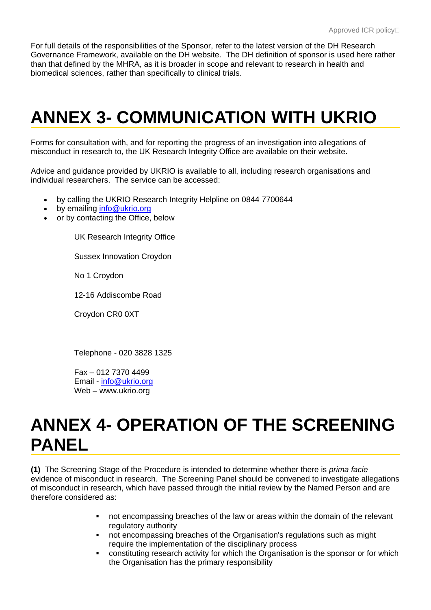For full details of the responsibilities of the Sponsor, refer to the latest version of the DH Research Governance Framework, available on the DH website. The DH definition of sponsor is used here rather than that defined by the MHRA, as it is broader in scope and relevant to research in health and biomedical sciences, rather than specifically to clinical trials.

# **ANNEX 3- COMMUNICATION WITH UKRIO**

Forms for consultation with, and for reporting the progress of an investigation into allegations of misconduct in research to, the UK Research Integrity Office are available on their website.

Advice and guidance provided by UKRIO is available to all, including research organisations and individual researchers. The service can be accessed:

- by calling the UKRIO Research Integrity Helpline on 0844 7700644
- by emailing [info@ukrio.org](mailto:helpline@ukrio.org)
- or by contacting the Office, below

UK Research Integrity Office

Sussex Innovation Croydon

No 1 Croydon

12-16 Addiscombe Road

Croydon CR0 0XT

Telephone - 020 3828 1325

Fax – 012 7370 4499 Email - [info@ukrio.org](mailto:RIO@UniversitiesUK.ac.uk) Web – www.ukrio.org

# **ANNEX 4- OPERATION OF THE SCREENING PANEL**

**(1)** The Screening Stage of the Procedure is intended to determine whether there is *prima facie* evidence of misconduct in research. The Screening Panel should be convened to investigate allegations of misconduct in research, which have passed through the initial review by the Named Person and are therefore considered as:

- not encompassing breaches of the law or areas within the domain of the relevant regulatory authority
- not encompassing breaches of the Organisation's regulations such as might require the implementation of the disciplinary process
- constituting research activity for which the Organisation is the sponsor or for which the Organisation has the primary responsibility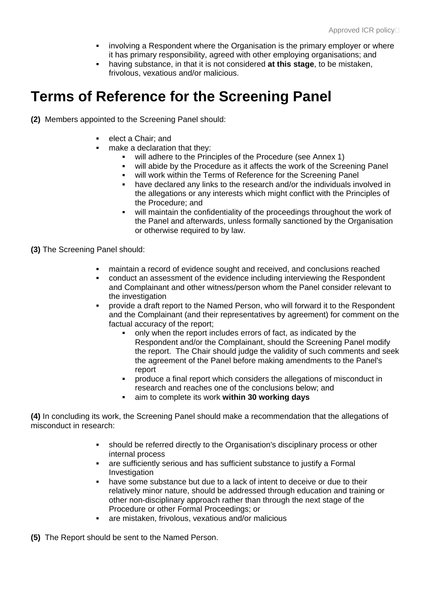- involving a Respondent where the Organisation is the primary employer or where it has primary responsibility, agreed with other employing organisations; and
- having substance, in that it is not considered **at this stage**, to be mistaken, frivolous, vexatious and/or malicious.

### **Terms of Reference for the Screening Panel**

**(2)** Members appointed to the Screening Panel should:

- elect a Chair; and
	- make a declaration that they:
		- **•** will adhere to the Principles of the Procedure (see Annex 1)
		- will abide by the Procedure as it affects the work of the Screening Panel
		- will work within the Terms of Reference for the Screening Panel
		- have declared any links to the research and/or the individuals involved in the allegations or any interests which might conflict with the Principles of the Procedure; and
		- will maintain the confidentiality of the proceedings throughout the work of the Panel and afterwards, unless formally sanctioned by the Organisation or otherwise required to by law.

**(3)** The Screening Panel should:

- maintain a record of evidence sought and received, and conclusions reached
- conduct an assessment of the evidence including interviewing the Respondent and Complainant and other witness/person whom the Panel consider relevant to the investigation
- provide a draft report to the Named Person, who will forward it to the Respondent and the Complainant (and their representatives by agreement) for comment on the factual accuracy of the report;
	- only when the report includes errors of fact, as indicated by the Respondent and/or the Complainant, should the Screening Panel modify the report. The Chair should judge the validity of such comments and seek the agreement of the Panel before making amendments to the Panel's report
	- produce a final report which considers the allegations of misconduct in research and reaches one of the conclusions below; and
	- aim to complete its work **within 30 working days**

**(4)** In concluding its work, the Screening Panel should make a recommendation that the allegations of misconduct in research:

- should be referred directly to the Organisation's disciplinary process or other internal process
- are sufficiently serious and has sufficient substance to justify a Formal **Investigation**
- have some substance but due to a lack of intent to deceive or due to their relatively minor nature, should be addressed through education and training or other non-disciplinary approach rather than through the next stage of the Procedure or other Formal Proceedings; or
- are mistaken, frivolous, vexatious and/or malicious

**(5)** The Report should be sent to the Named Person.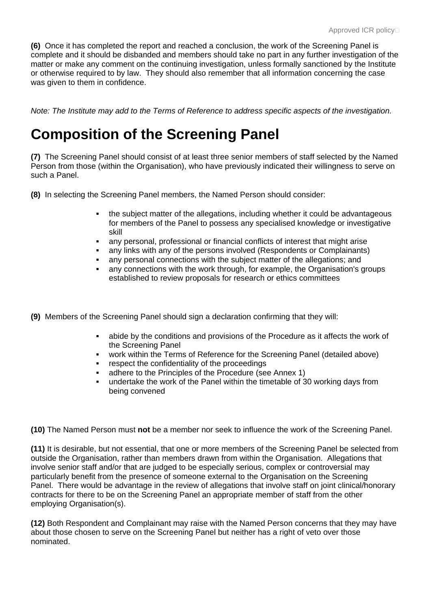**(6)** Once it has completed the report and reached a conclusion, the work of the Screening Panel is complete and it should be disbanded and members should take no part in any further investigation of the matter or make any comment on the continuing investigation, unless formally sanctioned by the Institute or otherwise required to by law. They should also remember that all information concerning the case was given to them in confidence.

*Note: The Institute may add to the Terms of Reference to address specific aspects of the investigation.* 

## **Composition of the Screening Panel**

**(7)** The Screening Panel should consist of at least three senior members of staff selected by the Named Person from those (within the Organisation), who have previously indicated their willingness to serve on such a Panel.

- **(8)** In selecting the Screening Panel members, the Named Person should consider:
	- the subject matter of the allegations, including whether it could be advantageous for members of the Panel to possess any specialised knowledge or investigative skill
	- any personal, professional or financial conflicts of interest that might arise
	- any links with any of the persons involved (Respondents or Complainants)
	- any personal connections with the subject matter of the allegations; and
	- any connections with the work through, for example, the Organisation's groups established to review proposals for research or ethics committees
- **(9)** Members of the Screening Panel should sign a declaration confirming that they will:
	- abide by the conditions and provisions of the Procedure as it affects the work of the Screening Panel
	- work within the Terms of Reference for the Screening Panel (detailed above)
	- **EXECUTE:** respect the confidentiality of the proceedings
	- adhere to the Principles of the Procedure (see Annex 1)
	- undertake the work of the Panel within the timetable of 30 working days from being convened

**(10)** The Named Person must **not** be a member nor seek to influence the work of the Screening Panel.

**(11)** It is desirable, but not essential, that one or more members of the Screening Panel be selected from outside the Organisation, rather than members drawn from within the Organisation. Allegations that involve senior staff and/or that are judged to be especially serious, complex or controversial may particularly benefit from the presence of someone external to the Organisation on the Screening Panel. There would be advantage in the review of allegations that involve staff on joint clinical/honorary contracts for there to be on the Screening Panel an appropriate member of staff from the other employing Organisation(s).

**(12)** Both Respondent and Complainant may raise with the Named Person concerns that they may have about those chosen to serve on the Screening Panel but neither has a right of veto over those nominated.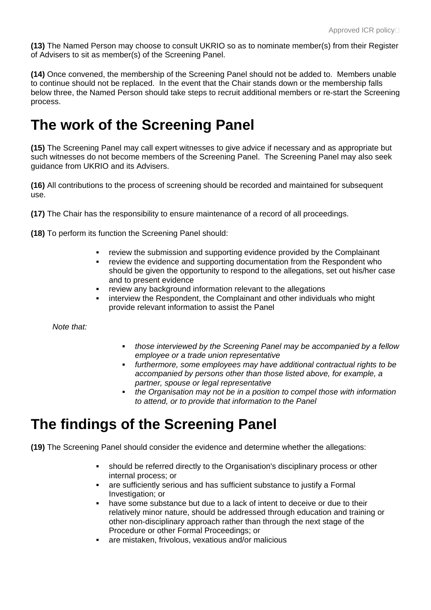**(13)** The Named Person may choose to consult UKRIO so as to nominate member(s) from their Register of Advisers to sit as member(s) of the Screening Panel.

**(14)** Once convened, the membership of the Screening Panel should not be added to. Members unable to continue should not be replaced. In the event that the Chair stands down or the membership falls below three, the Named Person should take steps to recruit additional members or re-start the Screening process.

### **The work of the Screening Panel**

**(15)** The Screening Panel may call expert witnesses to give advice if necessary and as appropriate but such witnesses do not become members of the Screening Panel. The Screening Panel may also seek guidance from UKRIO and its Advisers.

**(16)** All contributions to the process of screening should be recorded and maintained for subsequent use.

**(17)** The Chair has the responsibility to ensure maintenance of a record of all proceedings.

**(18)** To perform its function the Screening Panel should:

- review the submission and supporting evidence provided by the Complainant
- review the evidence and supporting documentation from the Respondent who should be given the opportunity to respond to the allegations, set out his/her case and to present evidence
- review any background information relevant to the allegations
- interview the Respondent, the Complainant and other individuals who might provide relevant information to assist the Panel

*Note that:*

- *those interviewed by the Screening Panel may be accompanied by a fellow employee or a trade union representative*
- *furthermore, some employees may have additional contractual rights to be accompanied by persons other than those listed above, for example, a partner, spouse or legal representative*
- *the Organisation may not be in a position to compel those with information to attend, or to provide that information to the Panel*

### **The findings of the Screening Panel**

**(19)** The Screening Panel should consider the evidence and determine whether the allegations:

- should be referred directly to the Organisation's disciplinary process or other internal process; or
- are sufficiently serious and has sufficient substance to justify a Formal Investigation; or
- have some substance but due to a lack of intent to deceive or due to their relatively minor nature, should be addressed through education and training or other non-disciplinary approach rather than through the next stage of the Procedure or other Formal Proceedings; or
- are mistaken, frivolous, vexatious and/or malicious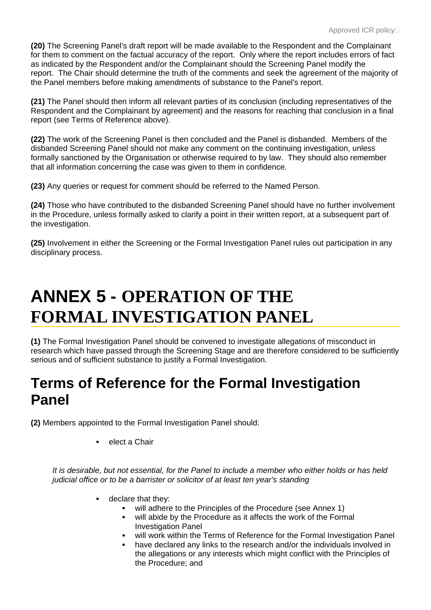**(20)** The Screening Panel's draft report will be made available to the Respondent and the Complainant for them to comment on the factual accuracy of the report. Only where the report includes errors of fact as indicated by the Respondent and/or the Complainant should the Screening Panel modify the report. The Chair should determine the truth of the comments and seek the agreement of the majority of the Panel members before making amendments of substance to the Panel's report.

**(21)** The Panel should then inform all relevant parties of its conclusion (including representatives of the Respondent and the Complainant by agreement) and the reasons for reaching that conclusion in a final report (see Terms of Reference above).

**(22)** The work of the Screening Panel is then concluded and the Panel is disbanded. Members of the disbanded Screening Panel should not make any comment on the continuing investigation, unless formally sanctioned by the Organisation or otherwise required to by law. They should also remember that all information concerning the case was given to them in confidence.

**(23)** Any queries or request for comment should be referred to the Named Person.

**(24)** Those who have contributed to the disbanded Screening Panel should have no further involvement in the Procedure, unless formally asked to clarify a point in their written report, at a subsequent part of the investigation.

**(25)** Involvement in either the Screening or the Formal Investigation Panel rules out participation in any disciplinary process.

# **ANNEX 5 - OPERATION OF THE FORMAL INVESTIGATION PANEL**

**(1)** The Formal Investigation Panel should be convened to investigate allegations of misconduct in research which have passed through the Screening Stage and are therefore considered to be sufficiently serious and of sufficient substance to justify a Formal Investigation.

### **Terms of Reference for the Formal Investigation Panel**

**(2)** Members appointed to the Formal Investigation Panel should:

elect a Chair

*It is desirable, but not essential, for the Panel to include a member who either holds or has held judicial office or to be a barrister or solicitor of at least ten year's standing*

- declare that they:
	- will adhere to the Principles of the Procedure (see Annex 1)
	- will abide by the Procedure as it affects the work of the Formal Investigation Panel
	- will work within the Terms of Reference for the Formal Investigation Panel
	- have declared any links to the research and/or the individuals involved in the allegations or any interests which might conflict with the Principles of the Procedure; and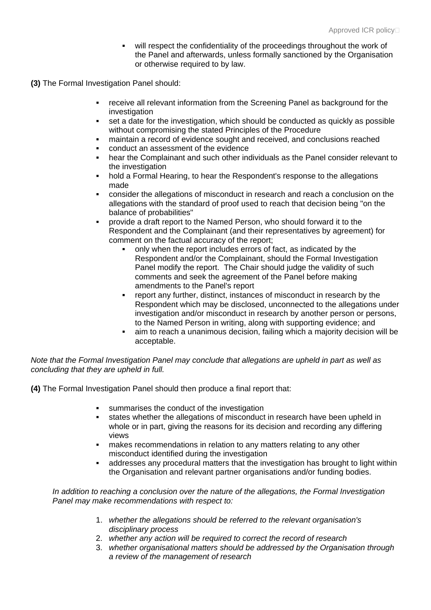- will respect the confidentiality of the proceedings throughout the work of the Panel and afterwards, unless formally sanctioned by the Organisation or otherwise required to by law.
- **(3)** The Formal Investigation Panel should:
	- receive all relevant information from the Screening Panel as background for the investigation
	- set a date for the investigation, which should be conducted as quickly as possible without compromising the stated Principles of the Procedure
	- maintain a record of evidence sought and received, and conclusions reached
	- conduct an assessment of the evidence
	- hear the Complainant and such other individuals as the Panel consider relevant to the investigation
	- hold a Formal Hearing, to hear the Respondent's response to the allegations made
	- consider the allegations of misconduct in research and reach a conclusion on the allegations with the standard of proof used to reach that decision being "on the balance of probabilities"
	- provide a draft report to the Named Person, who should forward it to the Respondent and the Complainant (and their representatives by agreement) for comment on the factual accuracy of the report;
		- only when the report includes errors of fact, as indicated by the Respondent and/or the Complainant, should the Formal Investigation Panel modify the report. The Chair should judge the validity of such comments and seek the agreement of the Panel before making amendments to the Panel's report
		- report any further, distinct, instances of misconduct in research by the Respondent which may be disclosed, unconnected to the allegations under investigation and/or misconduct in research by another person or persons, to the Named Person in writing, along with supporting evidence; and
		- aim to reach a unanimous decision, failing which a majority decision will be acceptable.

*Note that the Formal Investigation Panel may conclude that allegations are upheld in part as well as concluding that they are upheld in full.*

**(4)** The Formal Investigation Panel should then produce a final report that:

- **summarises the conduct of the investigation**
- states whether the allegations of misconduct in research have been upheld in whole or in part, giving the reasons for its decision and recording any differing views
- makes recommendations in relation to any matters relating to any other misconduct identified during the investigation
- addresses any procedural matters that the investigation has brought to light within the Organisation and relevant partner organisations and/or funding bodies.

*In addition to reaching a conclusion over the nature of the allegations, the Formal Investigation Panel may make recommendations with respect to:*

- 1. *whether the allegations should be referred to the relevant organisation's disciplinary process*
- 2. *whether any action will be required to correct the record of research*
- 3. *whether organisational matters should be addressed by the Organisation through a review of the management of research*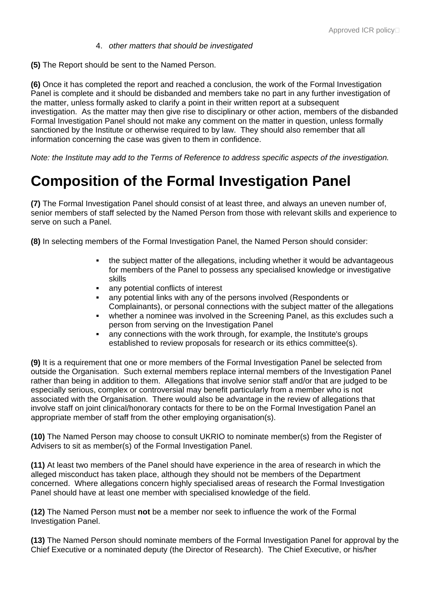#### 4. *other matters that should be investigated*

**(5)** The Report should be sent to the Named Person.

**(6)** Once it has completed the report and reached a conclusion, the work of the Formal Investigation Panel is complete and it should be disbanded and members take no part in any further investigation of the matter, unless formally asked to clarify a point in their written report at a subsequent investigation. As the matter may then give rise to disciplinary or other action, members of the disbanded Formal Investigation Panel should not make any comment on the matter in question, unless formally sanctioned by the Institute or otherwise required to by law. They should also remember that all information concerning the case was given to them in confidence.

*Note: the Institute may add to the Terms of Reference to address specific aspects of the investigation.*

### **Composition of the Formal Investigation Panel**

**(7)** The Formal Investigation Panel should consist of at least three, and always an uneven number of, senior members of staff selected by the Named Person from those with relevant skills and experience to serve on such a Panel.

**(8)** In selecting members of the Formal Investigation Panel, the Named Person should consider:

- the subject matter of the allegations, including whether it would be advantageous for members of the Panel to possess any specialised knowledge or investigative skills
- any potential conflicts of interest
- any potential links with any of the persons involved (Respondents or Complainants), or personal connections with the subject matter of the allegations
- whether a nominee was involved in the Screening Panel, as this excludes such a person from serving on the Investigation Panel
- any connections with the work through, for example, the Institute's groups established to review proposals for research or its ethics committee(s).

**(9)** It is a requirement that one or more members of the Formal Investigation Panel be selected from outside the Organisation. Such external members replace internal members of the Investigation Panel rather than being in addition to them. Allegations that involve senior staff and/or that are judged to be especially serious, complex or controversial may benefit particularly from a member who is not associated with the Organisation. There would also be advantage in the review of allegations that involve staff on joint clinical/honorary contacts for there to be on the Formal Investigation Panel an appropriate member of staff from the other employing organisation(s).

**(10)** The Named Person may choose to consult UKRIO to nominate member(s) from the Register of Advisers to sit as member(s) of the Formal Investigation Panel.

**(11)** At least two members of the Panel should have experience in the area of research in which the alleged misconduct has taken place, although they should not be members of the Department concerned. Where allegations concern highly specialised areas of research the Formal Investigation Panel should have at least one member with specialised knowledge of the field.

**(12)** The Named Person must **not** be a member nor seek to influence the work of the Formal Investigation Panel.

**(13)** The Named Person should nominate members of the Formal Investigation Panel for approval by the Chief Executive or a nominated deputy (the Director of Research). The Chief Executive, or his/her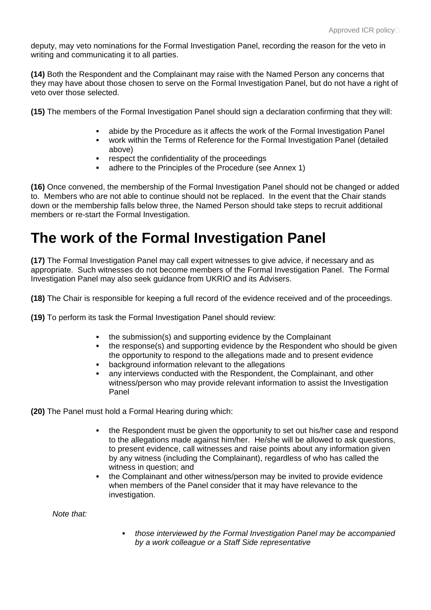deputy, may veto nominations for the Formal Investigation Panel, recording the reason for the veto in writing and communicating it to all parties.

**(14)** Both the Respondent and the Complainant may raise with the Named Person any concerns that they may have about those chosen to serve on the Formal Investigation Panel, but do not have a right of veto over those selected.

**(15)** The members of the Formal Investigation Panel should sign a declaration confirming that they will:

- abide by the Procedure as it affects the work of the Formal Investigation Panel
- work within the Terms of Reference for the Formal Investigation Panel (detailed above)
- respect the confidentiality of the proceedings
- adhere to the Principles of the Procedure (see Annex 1)

**(16)** Once convened, the membership of the Formal Investigation Panel should not be changed or added to. Members who are not able to continue should not be replaced. In the event that the Chair stands down or the membership falls below three, the Named Person should take steps to recruit additional members or re-start the Formal Investigation.

## **The work of the Formal Investigation Panel**

**(17)** The Formal Investigation Panel may call expert witnesses to give advice, if necessary and as appropriate. Such witnesses do not become members of the Formal Investigation Panel. The Formal Investigation Panel may also seek guidance from UKRIO and its Advisers.

**(18)** The Chair is responsible for keeping a full record of the evidence received and of the proceedings.

**(19)** To perform its task the Formal Investigation Panel should review:

- the submission(s) and supporting evidence by the Complainant
- the response(s) and supporting evidence by the Respondent who should be given the opportunity to respond to the allegations made and to present evidence
- background information relevant to the allegations
- any interviews conducted with the Respondent, the Complainant, and other witness/person who may provide relevant information to assist the Investigation Panel

**(20)** The Panel must hold a Formal Hearing during which:

- the Respondent must be given the opportunity to set out his/her case and respond to the allegations made against him/her. He/she will be allowed to ask questions, to present evidence, call witnesses and raise points about any information given by any witness (including the Complainant), regardless of who has called the witness in question; and
- the Complainant and other witness/person may be invited to provide evidence when members of the Panel consider that it may have relevance to the investigation.

*Note that:*

 *those interviewed by the Formal Investigation Panel may be accompanied by a work colleague or a Staff Side representative*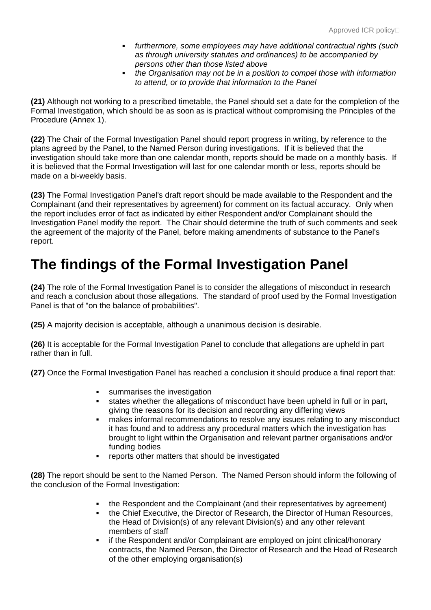- *furthermore, some employees may have additional contractual rights (such as through university statutes and ordinances) to be accompanied by persons other than those listed above*
- *the Organisation may not be in a position to compel those with information to attend, or to provide that information to the Panel*

**(21)** Although not working to a prescribed timetable, the Panel should set a date for the completion of the Formal Investigation, which should be as soon as is practical without compromising the Principles of the Procedure (Annex 1).

**(22)** The Chair of the Formal Investigation Panel should report progress in writing, by reference to the plans agreed by the Panel, to the Named Person during investigations. If it is believed that the investigation should take more than one calendar month, reports should be made on a monthly basis. If it is believed that the Formal Investigation will last for one calendar month or less, reports should be made on a bi-weekly basis.

**(23)** The Formal Investigation Panel's draft report should be made available to the Respondent and the Complainant (and their representatives by agreement) for comment on its factual accuracy. Only when the report includes error of fact as indicated by either Respondent and/or Complainant should the Investigation Panel modify the report. The Chair should determine the truth of such comments and seek the agreement of the majority of the Panel, before making amendments of substance to the Panel's report.

### **The findings of the Formal Investigation Panel**

**(24)** The role of the Formal Investigation Panel is to consider the allegations of misconduct in research and reach a conclusion about those allegations. The standard of proof used by the Formal Investigation Panel is that of "on the balance of probabilities".

**(25)** A majority decision is acceptable, although a unanimous decision is desirable.

**(26)** It is acceptable for the Formal Investigation Panel to conclude that allegations are upheld in part rather than in full.

**(27)** Once the Formal Investigation Panel has reached a conclusion it should produce a final report that:

- **summarises the investigation**
- states whether the allegations of misconduct have been upheld in full or in part, giving the reasons for its decision and recording any differing views
- makes informal recommendations to resolve any issues relating to any misconduct it has found and to address any procedural matters which the investigation has brought to light within the Organisation and relevant partner organisations and/or funding bodies
- reports other matters that should be investigated

**(28)** The report should be sent to the Named Person. The Named Person should inform the following of the conclusion of the Formal Investigation:

- the Respondent and the Complainant (and their representatives by agreement)
- the Chief Executive, the Director of Research, the Director of Human Resources, the Head of Division(s) of any relevant Division(s) and any other relevant members of staff
- if the Respondent and/or Complainant are employed on joint clinical/honorary contracts, the Named Person, the Director of Research and the Head of Research of the other employing organisation(s)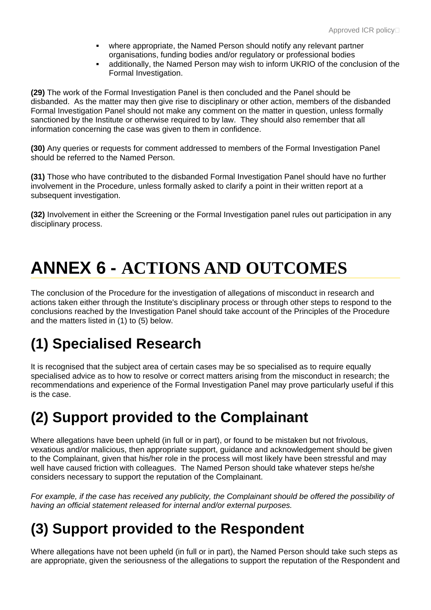- where appropriate, the Named Person should notify any relevant partner organisations, funding bodies and/or regulatory or professional bodies
- additionally, the Named Person may wish to inform UKRIO of the conclusion of the Formal Investigation.

**(29)** The work of the Formal Investigation Panel is then concluded and the Panel should be disbanded. As the matter may then give rise to disciplinary or other action, members of the disbanded Formal Investigation Panel should not make any comment on the matter in question, unless formally sanctioned by the Institute or otherwise required to by law. They should also remember that all information concerning the case was given to them in confidence.

**(30)** Any queries or requests for comment addressed to members of the Formal Investigation Panel should be referred to the Named Person.

**(31)** Those who have contributed to the disbanded Formal Investigation Panel should have no further involvement in the Procedure, unless formally asked to clarify a point in their written report at a subsequent investigation.

**(32)** Involvement in either the Screening or the Formal Investigation panel rules out participation in any disciplinary process.

# **ANNEX 6 - ACTIONS AND OUTCOMES**

The conclusion of the Procedure for the investigation of allegations of misconduct in research and actions taken either through the Institute's disciplinary process or through other steps to respond to the conclusions reached by the Investigation Panel should take account of the Principles of the Procedure and the matters listed in (1) to (5) below.

# **(1) Specialised Research**

It is recognised that the subject area of certain cases may be so specialised as to require equally specialised advice as to how to resolve or correct matters arising from the misconduct in research; the recommendations and experience of the Formal Investigation Panel may prove particularly useful if this is the case.

## **(2) Support provided to the Complainant**

Where allegations have been upheld (in full or in part), or found to be mistaken but not frivolous, vexatious and/or malicious, then appropriate support, guidance and acknowledgement should be given to the Complainant, given that his/her role in the process will most likely have been stressful and may well have caused friction with colleagues. The Named Person should take whatever steps he/she considers necessary to support the reputation of the Complainant.

*For example, if the case has received any publicity, the Complainant should be offered the possibility of having an official statement released for internal and/or external purposes.*

# **(3) Support provided to the Respondent**

Where allegations have not been upheld (in full or in part), the Named Person should take such steps as are appropriate, given the seriousness of the allegations to support the reputation of the Respondent and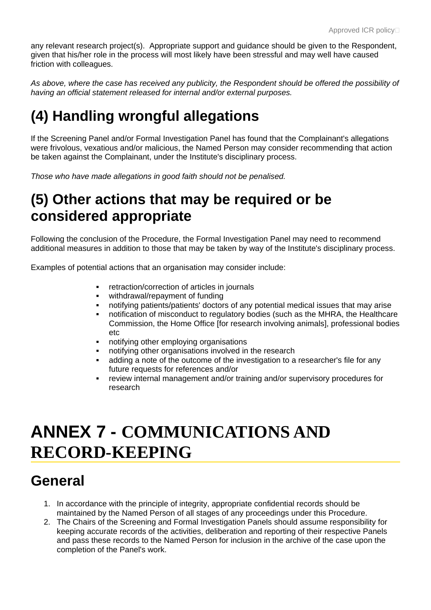any relevant research project(s). Appropriate support and guidance should be given to the Respondent, given that his/her role in the process will most likely have been stressful and may well have caused friction with colleagues.

*As above, where the case has received any publicity, the Respondent should be offered the possibility of having an official statement released for internal and/or external purposes.*

# **(4) Handling wrongful allegations**

If the Screening Panel and/or Formal Investigation Panel has found that the Complainant's allegations were frivolous, vexatious and/or malicious, the Named Person may consider recommending that action be taken against the Complainant, under the Institute's disciplinary process.

*Those who have made allegations in good faith should not be penalised.*

### **(5) Other actions that may be required or be considered appropriate**

Following the conclusion of the Procedure, the Formal Investigation Panel may need to recommend additional measures in addition to those that may be taken by way of the Institute's disciplinary process.

Examples of potential actions that an organisation may consider include:

- retraction/correction of articles in journals
- withdrawal/repayment of funding
- notifying patients/patients' doctors of any potential medical issues that may arise
- notification of misconduct to regulatory bodies (such as the MHRA, the Healthcare Commission, the Home Office [for research involving animals], professional bodies etc
- notifying other employing organisations
- notifying other organisations involved in the research
- adding a note of the outcome of the investigation to a researcher's file for any future requests for references and/or
- review internal management and/or training and/or supervisory procedures for research

# **ANNEX 7 - COMMUNICATIONS AND RECORD-KEEPING**

### **General**

- 1. In accordance with the principle of integrity, appropriate confidential records should be maintained by the Named Person of all stages of any proceedings under this Procedure.
- 2. The Chairs of the Screening and Formal Investigation Panels should assume responsibility for keeping accurate records of the activities, deliberation and reporting of their respective Panels and pass these records to the Named Person for inclusion in the archive of the case upon the completion of the Panel's work.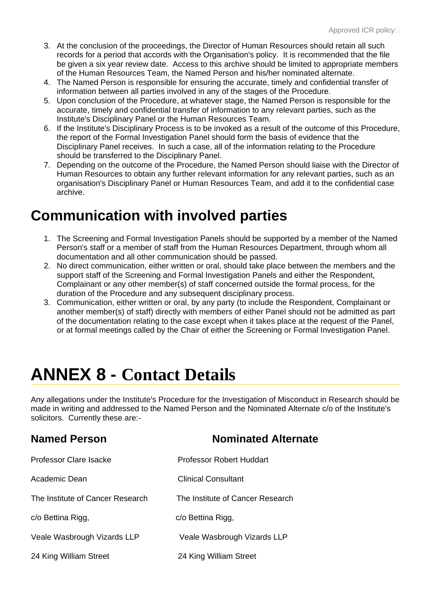- 3. At the conclusion of the proceedings, the Director of Human Resources should retain all such records for a period that accords with the Organisation's policy. It is recommended that the file be given a six year review date. Access to this archive should be limited to appropriate members of the Human Resources Team, the Named Person and his/her nominated alternate.
- 4. The Named Person is responsible for ensuring the accurate, timely and confidential transfer of information between all parties involved in any of the stages of the Procedure.
- 5. Upon conclusion of the Procedure, at whatever stage, the Named Person is responsible for the accurate, timely and confidential transfer of information to any relevant parties, such as the Institute's Disciplinary Panel or the Human Resources Team.
- 6. If the Institute's Disciplinary Process is to be invoked as a result of the outcome of this Procedure, the report of the Formal Investigation Panel should form the basis of evidence that the Disciplinary Panel receives. In such a case, all of the information relating to the Procedure should be transferred to the Disciplinary Panel.
- 7. Depending on the outcome of the Procedure, the Named Person should liaise with the Director of Human Resources to obtain any further relevant information for any relevant parties, such as an organisation's Disciplinary Panel or Human Resources Team, and add it to the confidential case archive.

### **Communication with involved parties**

- 1. The Screening and Formal Investigation Panels should be supported by a member of the Named Person's staff or a member of staff from the Human Resources Department, through whom all documentation and all other communication should be passed.
- 2. No direct communication, either written or oral, should take place between the members and the support staff of the Screening and Formal Investigation Panels and either the Respondent, Complainant or any other member(s) of staff concerned outside the formal process, for the duration of the Procedure and any subsequent disciplinary process.
- 3. Communication, either written or oral, by any party (to include the Respondent, Complainant or another member(s) of staff) directly with members of either Panel should not be admitted as part of the documentation relating to the case except when it takes place at the request of the Panel, or at formal meetings called by the Chair of either the Screening or Formal Investigation Panel.

# **ANNEX 8 - Contact Details**

Any allegations under the Institute's Procedure for the Investigation of Misconduct in Research should be made in writing and addressed to the Named Person and the Nominated Alternate c/o of the Institute's solicitors. Currently these are:-

| <b>Named Person</b>              | <b>Nominated Alternate</b>       |
|----------------------------------|----------------------------------|
| <b>Professor Clare Isacke</b>    | Professor Robert Huddart         |
| Academic Dean                    | Clinical Consultant              |
| The Institute of Cancer Research | The Institute of Cancer Research |
| c/o Bettina Rigg,                | c/o Bettina Rigg,                |
| Veale Wasbrough Vizards LLP      | Veale Wasbrough Vizards LLP      |
| 24 King William Street           | 24 King William Street           |